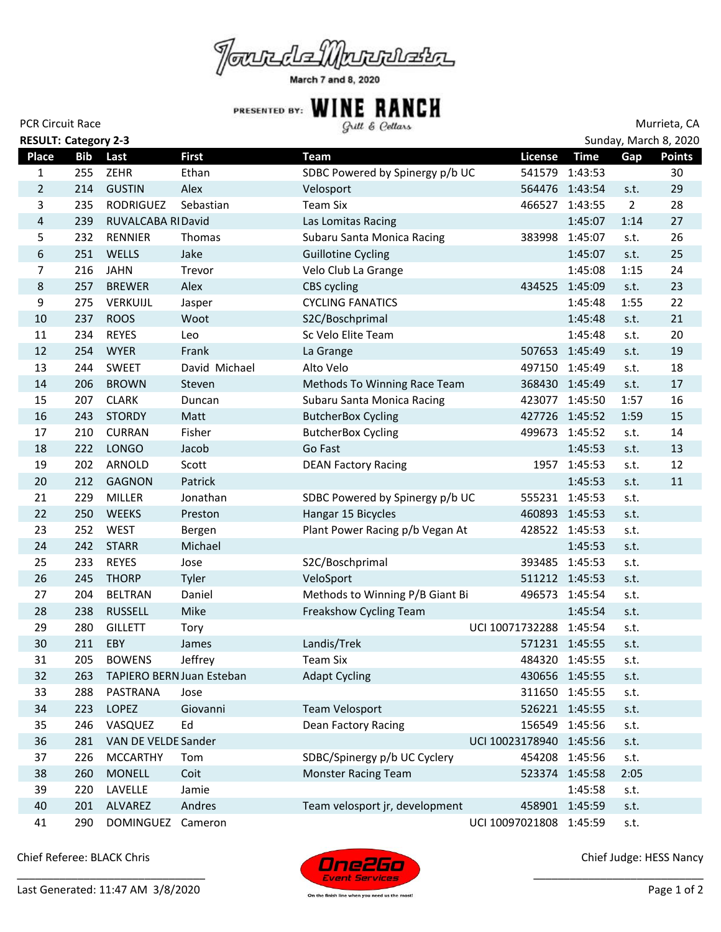

| <b>PCR Circuit Race</b>     |            |                           |               | Gull & Cellars                  |                         |                |                | Murrieta, CA          |
|-----------------------------|------------|---------------------------|---------------|---------------------------------|-------------------------|----------------|----------------|-----------------------|
| <b>RESULT: Category 2-3</b> |            |                           |               |                                 |                         |                |                | Sunday, March 8, 2020 |
| Place                       | <b>Bib</b> | Last                      | <b>First</b>  | <b>Team</b>                     | License                 | <b>Time</b>    | Gap            | <b>Points</b>         |
| 1                           | 255        | ZEHR                      | Ethan         | SDBC Powered by Spinergy p/b UC |                         | 541579 1:43:53 |                | 30                    |
| $\overline{2}$              | 214        | <b>GUSTIN</b>             | Alex          | Velosport                       |                         | 564476 1:43:54 | s.t.           | 29                    |
| 3                           | 235        | <b>RODRIGUEZ</b>          | Sebastian     | <b>Team Six</b>                 |                         | 466527 1:43:55 | $\overline{2}$ | 28                    |
| 4                           | 239        | RUVALCABA RIDavid         |               | Las Lomitas Racing              |                         | 1:45:07        | 1:14           | 27                    |
| 5                           | 232        | <b>RENNIER</b>            | Thomas        | Subaru Santa Monica Racing      |                         | 383998 1:45:07 | s.t.           | 26                    |
| 6                           | 251        | WELLS                     | Jake          | <b>Guillotine Cycling</b>       |                         | 1:45:07        | s.t.           | 25                    |
| $\overline{7}$              | 216        | <b>JAHN</b>               | Trevor        | Velo Club La Grange             |                         | 1:45:08        | 1:15           | 24                    |
| 8                           | 257        | <b>BREWER</b>             | Alex          | CBS cycling                     | 434525 1:45:09          |                | s.t.           | 23                    |
| 9                           | 275        | VERKUIJL                  | Jasper        | <b>CYCLING FANATICS</b>         |                         | 1:45:48        | 1:55           | 22                    |
| 10                          | 237        | <b>ROOS</b>               | Woot          | S2C/Boschprimal                 |                         | 1:45:48        | s.t.           | 21                    |
| 11                          | 234        | <b>REYES</b>              | Leo           | Sc Velo Elite Team              |                         | 1:45:48        | s.t.           | 20                    |
| 12                          | 254        | <b>WYER</b>               | Frank         | La Grange                       |                         | 507653 1:45:49 | s.t.           | 19                    |
| 13                          | 244        | <b>SWEET</b>              | David Michael | Alto Velo                       |                         | 497150 1:45:49 | s.t.           | 18                    |
| 14                          | 206        | <b>BROWN</b>              | Steven        | Methods To Winning Race Team    |                         | 368430 1:45:49 | s.t.           | 17                    |
| 15                          | 207        | <b>CLARK</b>              | Duncan        | Subaru Santa Monica Racing      |                         | 423077 1:45:50 | 1:57           | 16                    |
| 16                          | 243        | <b>STORDY</b>             | Matt          | <b>ButcherBox Cycling</b>       |                         | 427726 1:45:52 | 1:59           | 15                    |
| 17                          | 210        | <b>CURRAN</b>             | Fisher        | <b>ButcherBox Cycling</b>       |                         | 499673 1:45:52 | s.t.           | 14                    |
| 18                          | 222        | <b>LONGO</b>              | Jacob         | Go Fast                         |                         | 1:45:53        | s.t.           | 13                    |
| 19                          | 202        | ARNOLD                    | Scott         | <b>DEAN Factory Racing</b>      |                         | 1957 1:45:53   | s.t.           | 12                    |
| 20                          | 212        | <b>GAGNON</b>             | Patrick       |                                 |                         | 1:45:53        | s.t.           | 11                    |
| 21                          | 229        | MILLER                    | Jonathan      | SDBC Powered by Spinergy p/b UC |                         | 555231 1:45:53 | s.t.           |                       |
| 22                          | 250        | <b>WEEKS</b>              | Preston       | Hangar 15 Bicycles              |                         | 460893 1:45:53 | s.t.           |                       |
| 23                          | 252        | <b>WEST</b>               | Bergen        | Plant Power Racing p/b Vegan At |                         | 428522 1:45:53 | s.t.           |                       |
| 24                          | 242        | <b>STARR</b>              | Michael       |                                 |                         | 1:45:53        | s.t.           |                       |
| 25                          | 233        | <b>REYES</b>              | Jose          | S2C/Boschprimal                 |                         | 393485 1:45:53 | s.t.           |                       |
| 26                          | 245        | <b>THORP</b>              | Tyler         | VeloSport                       |                         | 511212 1:45:53 | s.t.           |                       |
| 27                          | 204        | <b>BELTRAN</b>            | Daniel        | Methods to Winning P/B Giant Bi |                         | 496573 1:45:54 | s.t.           |                       |
| 28                          | 238        | <b>RUSSELL</b>            | Mike          | Freakshow Cycling Team          |                         | 1:45:54        | s.t.           |                       |
| 29                          | 280        | <b>GILLETT</b>            | Tory          |                                 | UCI 10071732288 1:45:54 |                | s.t.           |                       |
| 30                          | 211        | EBY                       | James         | Landis/Trek                     |                         | 571231 1:45:55 | s.t.           |                       |
| 31                          | 205        | <b>BOWENS</b>             | Jeffrey       | <b>Team Six</b>                 |                         | 484320 1:45:55 | s.t.           |                       |
| 32                          | 263        | TAPIERO BERN Juan Esteban |               | <b>Adapt Cycling</b>            |                         | 430656 1:45:55 | s.t.           |                       |
| 33                          | 288        | PASTRANA                  | Jose          |                                 |                         | 311650 1:45:55 | s.t.           |                       |
| 34                          | 223        | LOPEZ                     | Giovanni      | Team Velosport                  |                         | 526221 1:45:55 | s.t.           |                       |
| 35                          | 246        | VASQUEZ                   | Ed            | Dean Factory Racing             |                         | 156549 1:45:56 | s.t.           |                       |
| 36                          | 281        | VAN DE VELDE Sander       |               |                                 | UCI 10023178940 1:45:56 |                | s.t.           |                       |
| 37                          | 226        | <b>MCCARTHY</b>           | Tom           | SDBC/Spinergy p/b UC Cyclery    |                         | 454208 1:45:56 | s.t.           |                       |
| 38                          | 260        | <b>MONELL</b>             | Coit          | <b>Monster Racing Team</b>      |                         | 523374 1:45:58 | 2:05           |                       |
| 39                          | 220        | LAVELLE                   | Jamie         |                                 |                         | 1:45:58        | s.t.           |                       |
| 40                          | 201        | ALVAREZ                   | Andres        | Team velosport jr, development  | 458901 1:45:59          |                | s.t.           |                       |
| 41                          | 290        | <b>DOMINGUEZ</b>          | Cameron       |                                 | UCI 10097021808 1:45:59 |                | s.t.           |                       |

Chief Referee: BLACK Chris





Chief Judge: HESS Nancy

\_\_\_\_\_\_\_\_\_\_\_\_\_\_\_\_\_\_\_\_\_\_\_\_\_\_\_\_

On the finish line when you need us the most!